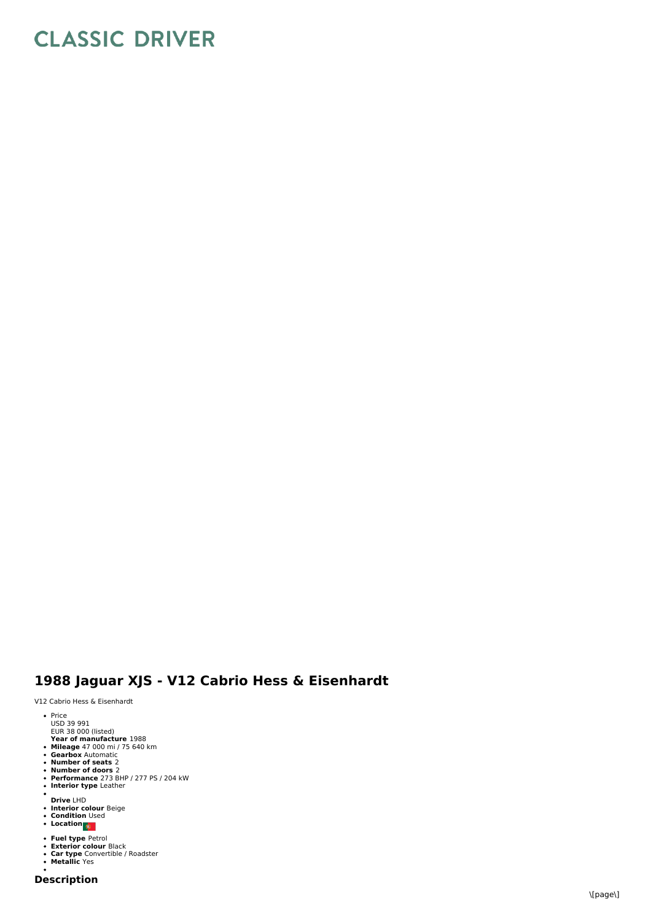## **CLASSIC DRIVER**

## 1988 Jaguar XJS - V12 Cabrio Hess & Eisenhardt

V12 Cabrio Hess & Eisenhardt

- Price<br>USD 39 991<br>EUR 38 000 (listed)
- 
- 
- 
- 
- 
- Year of manufacture 1988<br>Mileage 47 000 mi / 75 640 km<br>Gearbox Automatic<br>Number of seats 2<br>Performance 273 BHP / 277 PS / 204 kW<br>Performance 273 BHP / 277 PS / 204 kW<br>Interior type Leather
- 
- 
- **Drive** LHD<br>**Interior colour** Beige<br>**Condition** Used<br>**Location**
- 
- 
- 
- 
- **Fuel type** Petrol<br>**Exterior colour** Black<br>**Car type** Convertible / Roadster<br>**Metallic** Yes
-